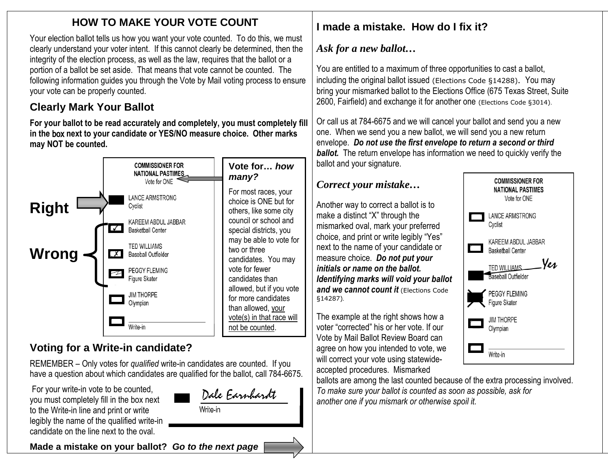### **HOW TO MAKE YOUR VOTE COUNT**

Your election ballot tells us how you want your vote counted. To do this, we must clearly understand your voter intent. If this cannot clearly be determined, then the integrity of the election process, as well as the law, requires that the ballot or a portion of a ballot be set aside. That means that vote cannot be counted. The following information guides you through the Vote by Mail voting process to ensure your vote can be properly counted.

### **Clearly Mark Your Ballot**

**For your ballot to be read accurately and completely, you must completely fill in the** box **next to your candidate or YES/NO measure choice. Other marks may NOT be counted.**



## **Voting for a Write-in candidate?**

REMEMBER – Only votes for *qualified* write-in candidates are counted. If you have a question about which candidates are qualified for the ballot, call 784-6675.

For your write-in vote to be counted, you must completely fill in the box next to the Write-in line and print or write legibly the name of the qualified write-in candidate on the line next to the oval.

Dale Earnhardt Write-in

**Made a mistake on your ballot?** *Go to the next page*

# **I made a mistake. How do I fix it?**

### *Ask for a new ballot…*

You are entitled to a maximum of three opportunities to cast a ballot, including the original ballot issued (Elections Code §14288). You may bring your mismarked ballot to the Elections Office (675 Texas Street, Suite 2600, Fairfield) and exchange it for another one (Elections Code §3014).

Or call us at 784-6675 and we will cancel your ballot and send you a new one. When we send you a new ballot, we will send you a new return envelope. *Do not use the first envelope to return a second or third ballot.* The return envelope has information we need to quickly verify the ballot and your signature.

### *Correct your mistake…*

Another way to correct a ballot is to make a distinct "X" through the mismarked oval, mark your preferred choice, and print or write legibly "Yes" next to the name of your candidate or measure choice. *Do not put your initials or name on the ballot. Identifying marks will void your ballot and we cannot count it* (Elections Code §14287)*.*

The example at the right shows how a voter "corrected" his or her vote. If our Vote by Mail Ballot Review Board can agree on how you intended to vote, we will correct your vote using statewideaccepted procedures. Mismarked



ballots are among the last counted because of the extra processing involved. *To make sure your ballot is counted as soon as possible, ask for another one if you mismark or otherwise spoil it.*